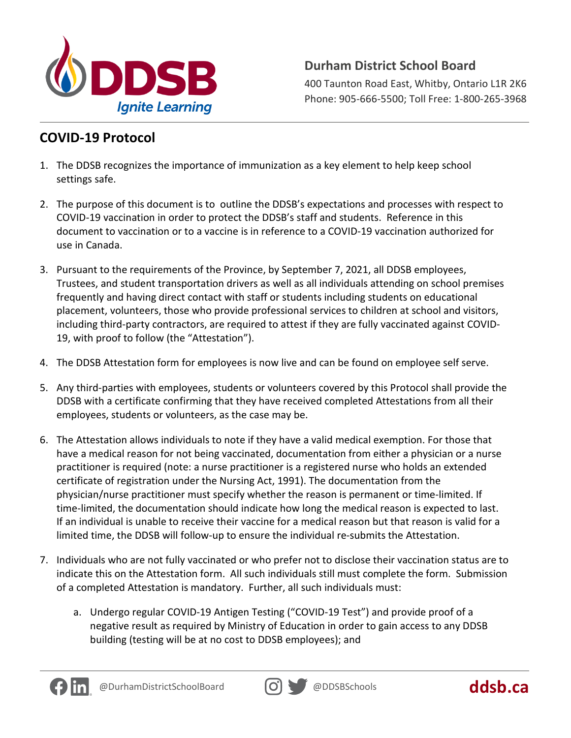

## **Durham District School Board**

400 Taunton Road East, Whitby, Ontario L1R 2K6 Phone: 905-666-5500; Toll Free: 1-800-265-3968

## **COVID-19 Protocol**

- 1. The DDSB recognizes the importance of immunization as a key element to help keep school settings safe.
- 2. The purpose of this document is to outline the DDSB's expectations and processes with respect to COVID-19 vaccination in order to protect the DDSB's staff and students. Reference in this document to vaccination or to a vaccine is in reference to a COVID-19 vaccination authorized for use in Canada.
- 3. Pursuant to the requirements of the Province, by September 7, 2021, all DDSB employees, Trustees, and student transportation drivers as well as all individuals attending on school premises frequently and having direct contact with staff or students including students on educational placement, volunteers, those who provide professional services to children at school and visitors, including third-party contractors, are required to attest if they are fully vaccinated against COVID-19, with proof to follow (the "Attestation").
- 4. The DDSB Attestation form for employees is now live and can be found on employee self serve.
- 5. Any third-parties with employees, students or volunteers covered by this Protocol shall provide the DDSB with a certificate confirming that they have received completed Attestations from all their employees, students or volunteers, as the case may be.
- 6. The Attestation allows individuals to note if they have a valid medical exemption. For those that have a medical reason for not being vaccinated, documentation from either a physician or a nurse practitioner is required (note: a nurse practitioner is a registered nurse who holds an extended certificate of registration under the Nursing Act, 1991). The documentation from the physician/nurse practitioner must specify whether the reason is permanent or time-limited. If time-limited, the documentation should indicate how long the medical reason is expected to last. If an individual is unable to receive their vaccine for a medical reason but that reason is valid for a limited time, the DDSB will follow-up to ensure the individual re-submits the Attestation.
- 7. Individuals who are not fully vaccinated or who prefer not to disclose their vaccination status are to indicate this on the Attestation form. All such individuals still must complete the form. Submission of a completed Attestation is mandatory. Further, all such individuals must:
	- a. Undergo regular COVID-19 Antigen Testing ("COVID-19 Test") and provide proof of a negative result as required by Ministry of Education in order to gain access to any DDSB building (testing will be at no cost to DDSB employees); and